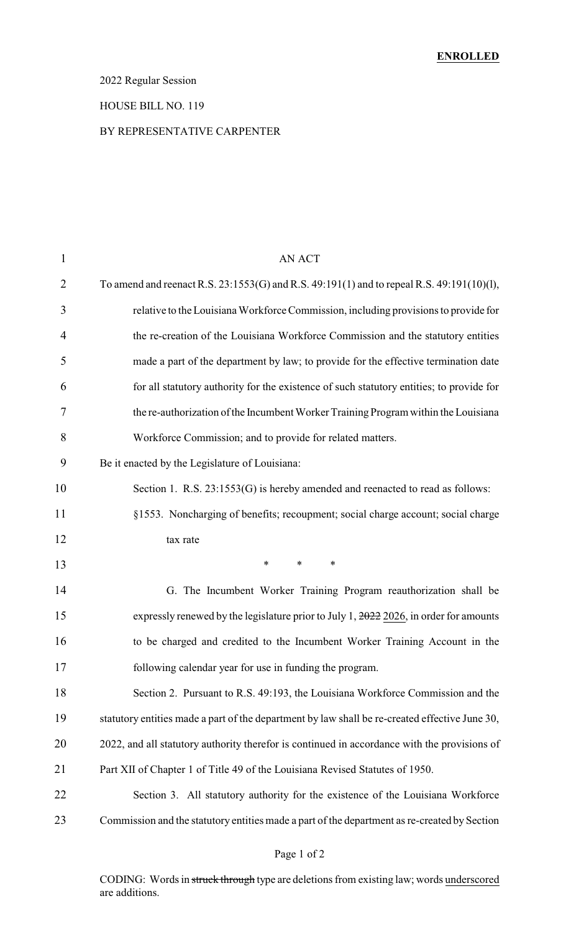### 2022 Regular Session

#### HOUSE BILL NO. 119

#### BY REPRESENTATIVE CARPENTER

| $\mathbf{1}$   | <b>AN ACT</b>                                                                                    |
|----------------|--------------------------------------------------------------------------------------------------|
| $\overline{2}$ | To amend and reenact R.S. 23:1553(G) and R.S. 49:191(1) and to repeal R.S. 49:191(10)(1),        |
| 3              | relative to the Louisiana Workforce Commission, including provisions to provide for              |
| $\overline{4}$ | the re-creation of the Louisiana Workforce Commission and the statutory entities                 |
| 5              | made a part of the department by law; to provide for the effective termination date              |
| 6              | for all statutory authority for the existence of such statutory entities; to provide for         |
| 7              | the re-authorization of the Incumbent Worker Training Program within the Louisiana               |
| 8              | Workforce Commission; and to provide for related matters.                                        |
| 9              | Be it enacted by the Legislature of Louisiana:                                                   |
| 10             | Section 1. R.S. 23:1553(G) is hereby amended and reenacted to read as follows:                   |
| 11             | §1553. Noncharging of benefits; recoupment; social charge account; social charge                 |
| 12             | tax rate                                                                                         |
| 13             | $\ast$<br>$\ast$<br>∗                                                                            |
| 14             | G. The Incumbent Worker Training Program reauthorization shall be                                |
| 15             | expressly renewed by the legislature prior to July 1, $\frac{2022}{2026}$ , in order for amounts |
| 16             | to be charged and credited to the Incumbent Worker Training Account in the                       |
| 17             | following calendar year for use in funding the program.                                          |
| 18             | Section 2. Pursuant to R.S. 49:193, the Louisiana Workforce Commission and the                   |
| 19             | statutory entities made a part of the department by law shall be re-created effective June 30,   |
| 20             | 2022, and all statutory authority therefor is continued in accordance with the provisions of     |
| 21             | Part XII of Chapter 1 of Title 49 of the Louisiana Revised Statutes of 1950.                     |
| 22             | Section 3. All statutory authority for the existence of the Louisiana Workforce                  |
| 23             | Commission and the statutory entities made a part of the department as re-created by Section     |

### Page 1 of 2

CODING: Words in struck through type are deletions from existing law; words underscored are additions.